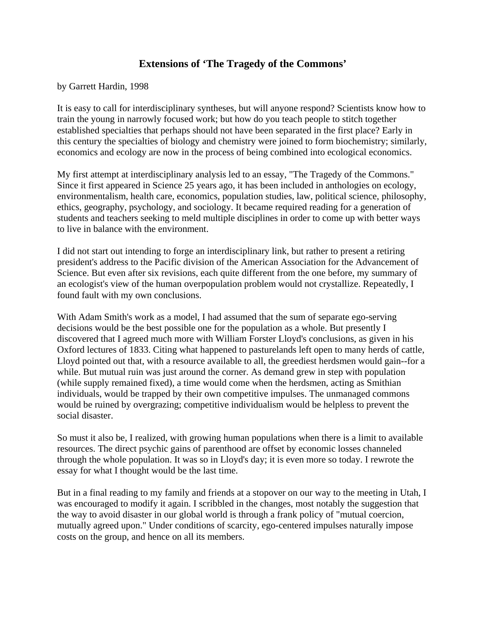## **Extensions of 'The Tragedy of the Commons'**

by Garrett Hardin, 1998

It is easy to call for interdisciplinary syntheses, but will anyone respond? Scientists know how to train the young in narrowly focused work; but how do you teach people to stitch together established specialties that perhaps should not have been separated in the first place? Early in this century the specialties of biology and chemistry were joined to form biochemistry; similarly, economics and ecology are now in the process of being combined into ecological economics.

My first attempt at interdisciplinary analysis led to an essay, "The Tragedy of the Commons." Since it first appeared in Science 25 years ago, it has been included in anthologies on ecology, environmentalism, health care, economics, population studies, law, political science, philosophy, ethics, geography, psychology, and sociology. It became required reading for a generation of students and teachers seeking to meld multiple disciplines in order to come up with better ways to live in balance with the environment.

I did not start out intending to forge an interdisciplinary link, but rather to present a retiring president's address to the Pacific division of the American Association for the Advancement of Science. But even after six revisions, each quite different from the one before, my summary of an ecologist's view of the human overpopulation problem would not crystallize. Repeatedly, I found fault with my own conclusions.

With Adam Smith's work as a model, I had assumed that the sum of separate ego-serving decisions would be the best possible one for the population as a whole. But presently I discovered that I agreed much more with William Forster Lloyd's conclusions, as given in his Oxford lectures of 1833. Citing what happened to pasturelands left open to many herds of cattle, Lloyd pointed out that, with a resource available to all, the greediest herdsmen would gain--for a while. But mutual ruin was just around the corner. As demand grew in step with population (while supply remained fixed), a time would come when the herdsmen, acting as Smithian individuals, would be trapped by their own competitive impulses. The unmanaged commons would be ruined by overgrazing; competitive individualism would be helpless to prevent the social disaster.

So must it also be, I realized, with growing human populations when there is a limit to available resources. The direct psychic gains of parenthood are offset by economic losses channeled through the whole population. It was so in Lloyd's day; it is even more so today. I rewrote the essay for what I thought would be the last time.

But in a final reading to my family and friends at a stopover on our way to the meeting in Utah, I was encouraged to modify it again. I scribbled in the changes, most notably the suggestion that the way to avoid disaster in our global world is through a frank policy of "mutual coercion, mutually agreed upon." Under conditions of scarcity, ego-centered impulses naturally impose costs on the group, and hence on all its members.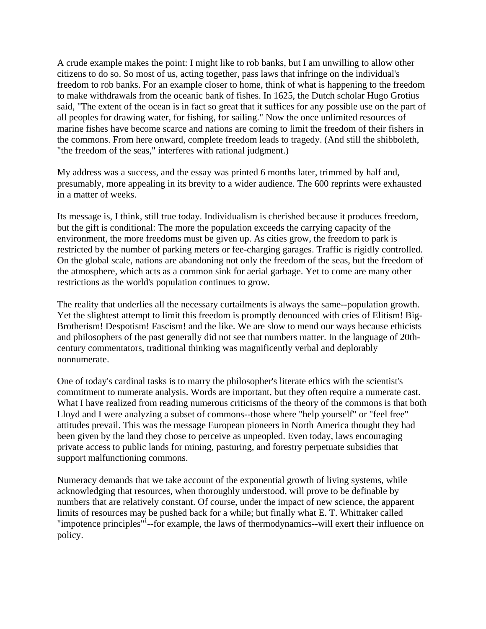A crude example makes the point: I might like to rob banks, but I am unwilling to allow other citizens to do so. So most of us, acting together, pass laws that infringe on the individual's freedom to rob banks. For an example closer to home, think of what is happening to the freedom to make withdrawals from the oceanic bank of fishes. In 1625, the Dutch scholar Hugo Grotius said, "The extent of the ocean is in fact so great that it suffices for any possible use on the part of all peoples for drawing water, for fishing, for sailing." Now the once unlimited resources of marine fishes have become scarce and nations are coming to limit the freedom of their fishers in the commons. From here onward, complete freedom leads to tragedy. (And still the shibboleth, "the freedom of the seas," interferes with rational judgment.)

My address was a success, and the essay was printed 6 months later, trimmed by half and, presumably, more appealing in its brevity to a wider audience. The 600 reprints were exhausted in a matter of weeks.

Its message is, I think, still true today. Individualism is cherished because it produces freedom, but the gift is conditional: The more the population exceeds the carrying capacity of the environment, the more freedoms must be given up. As cities grow, the freedom to park is restricted by the number of parking meters or fee-charging garages. Traffic is rigidly controlled. On the global scale, nations are abandoning not only the freedom of the seas, but the freedom of the atmosphere, which acts as a common sink for aerial garbage. Yet to come are many other restrictions as the world's population continues to grow.

The reality that underlies all the necessary curtailments is always the same--population growth. Yet the slightest attempt to limit this freedom is promptly denounced with cries of Elitism! Big-Brotherism! Despotism! Fascism! and the like. We are slow to mend our ways because ethicists and philosophers of the past generally did not see that numbers matter. In the language of 20thcentury commentators, traditional thinking was magnificently verbal and deplorably nonnumerate.

One of today's cardinal tasks is to marry the philosopher's literate ethics with the scientist's commitment to numerate analysis. Words are important, but they often require a numerate cast. What I have realized from reading numerous criticisms of the theory of the commons is that both Lloyd and I were analyzing a subset of commons--those where "help yourself" or "feel free" attitudes prevail. This was the message European pioneers in North America thought they had been given by the land they chose to perceive as unpeopled. Even today, laws encouraging private access to public lands for mining, pasturing, and forestry perpetuate subsidies that support malfunctioning commons.

Numeracy demands that we take account of the exponential growth of living systems, while acknowledging that resources, when thoroughly understood, will prove to be definable by numbers that are relatively constant. Of course, under the impact of new science, the apparent limits of resources may be pushed back for a while; but finally what E. T. Whittaker called "[i](#page-2-0)mpotence principles"<sup>i</sup>--for example, the laws of thermodynamics--will exert their influence on policy.